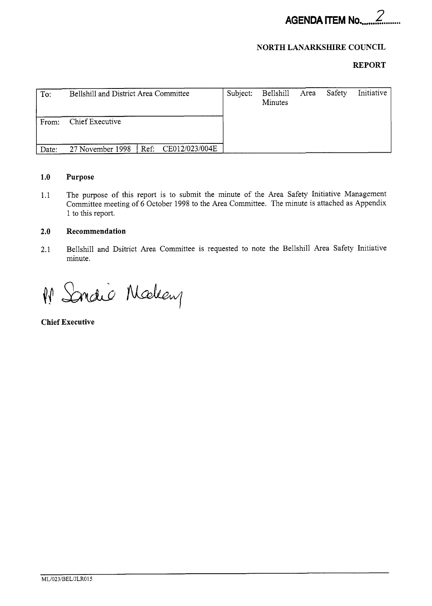

## **NORTH LANARKSHIRE COUNCIL**

### **REPORT**

| To:   | Bellshill and District Area Committee   | Subject: | Bellshill<br>Minutes | Area Safety | Initiative |
|-------|-----------------------------------------|----------|----------------------|-------------|------------|
| From: | Chief Executive                         |          |                      |             |            |
| Date: | Ref: CE012/023/004E<br>27 November 1998 |          |                      |             |            |

### **1.0 Purpose**

1.1 The purpose of this report is to submit the minute of the Area Safety Initiative Management Committee meeting of 6 October 1998 to the Area Committee. The minute is attached as Appendix 1 to this report.

### **2.0 Recommendation**

2.1 Bellshill and Dsitrict Area Committee is requested to note the Bellshill Area Safety Initiative minute.

Sondio Malen  $\sqrt{\sqrt{2}}$ 

**Chief Executive**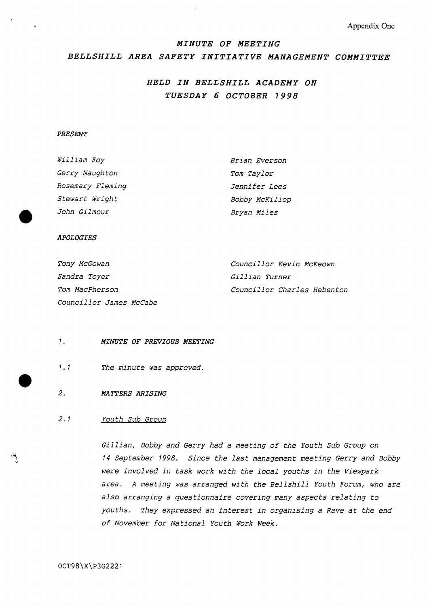**Appendix One** 

### *MINUTE OF MEETING*

### *BELLSHILL AREA SAFETY INITIATIVE MANAGEMENT COMMITTEE*

# *HELD IN BELLSHILL ACADEMY ON TUESDAY 6 OCTOBER 1998*

### *PRESENT*

| Brian Everson  |  |  |  |
|----------------|--|--|--|
| Tom Taylor     |  |  |  |
| Jennifer Lees  |  |  |  |
| Bobby McKillop |  |  |  |
| Bryan Miles    |  |  |  |
|                |  |  |  |

#### *APOLOGIES*

| Tony McGowan            | Councillor Kevin McKeown           |
|-------------------------|------------------------------------|
| <i>Sandra Toyer</i>     | <i>Gillian Turner</i>              |
| <i>Tom MacPherson</i>   | <i>Councillor Charles Hebenton</i> |
| Councillor James McCabe |                                    |

#### *1. MINUTE OF PREVIOUS MEETING*

*1.1 The minute was approved.* 

### *2. MATTERS ARISING*

### *2.1 Youth Sub Group*

*Gillian, Bobby and Gerry had a meeting of the Youth Sub Group on <sup>14</sup>September 1998. Since the last management meeting Gerry and Bobby were involved in task work with the local youths in the Viewpark area. A meeting was arranged with the Bellshill Youth Forum, who are also arranging a questionnaire covering many aspects relating to youths. They expressed an interest in organising a Rave at the end of November for National Youth Work week.*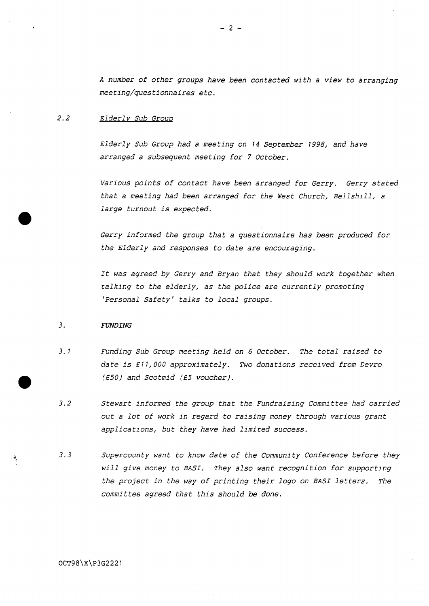*<sup>A</sup>number of other groups have been contacted with a view to arranging meeting/questionnaires etc.* 

### 2.2 Elderly Sub Group

*Elderly Sub Group had a meeting on 14 September 1998, and have arranged a subsequent meeting for 7 October.* 

*Various points of contact have been arranged for Gerry. Gerry stated that a meeting had been arranged for the West Church, Bellshill, a large turnout is expected.* 

*Gerry informed the group that a questionnaire has been produced for the Elderly and responses to date are encouraging.* 

*It was agreed by Gerry and Bryan that they should work together when talking to the elderly, as the police are currently promoting 'Personal Safety' talks to local groups.* 

#### *3. FUNDING*

- *3.1 Funding Sub Group meeting held on 6 October. The total raised to date is* <sup>E</sup>*1 1,000 approximately, Two donations received from Devro*  **(E501** *and Scotmid* **(E5** *voucher).*
- *3.2 Stewart informed the group that the Fundraising Committee had carried out a lot of work in regard to raising money through various grant applications, but they have had limited success.*
- *3.3 Supercounty want to know date of the Community Conference before they will give money to BASI. They also want recognition for supporting the project in the way of printing their logo on BASI letters. The committee agreed that this should be done.*

OCT98\X\P3G2221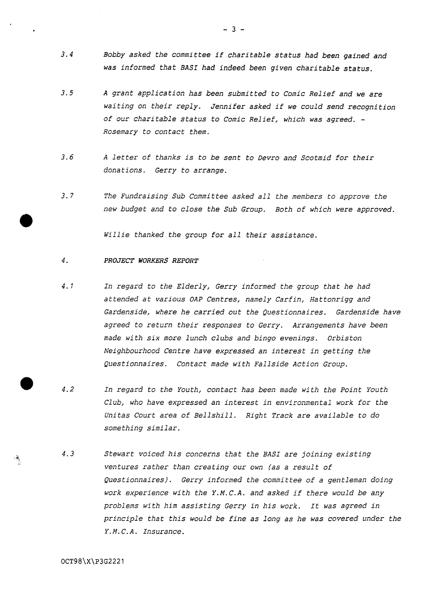- *3.4 Bobby asked the committee if charitable status had been gained and was informed that EASI had indeed been given charitable status.*
- **3.5**  *A grant application has been submitted to Comic Relief and we are waiting on their reply. Jennifer asked if we could send recognition of our charitable status to Comic Relief, which was agreed.* - *Rosemary to contact them.*
- *3.6 <sup>A</sup>letter of thanks is to be sent to Devro and Scotmid for their donations. Gerry to arrange.*
- *3.7 The Fundraising Sub Committee asked all the members to approve the new budget and to close the Sub Group. Both of which were approved.*

*Willie thanked the group for all their assistance.* 

#### *4. PROJECT WORKERS REPORT*

- *4.1 In regard to the Elderly, Gerry informed the group that he had attended at various OAP Centres, namely Carfin, Hattonrigg and Gardenside, where he carried out the Questionnaires. Gardenside have agreed to return their responses to Gerry. Arrangements have been made with six more lunch clubs and bingo evenings. Orbiston Neighbourhood Centre have expressed an interest in getting the Questionnaires. Contact made with Fallside Action Group.*
- $4.2$ *In regard to the Youth, contact has been made with the Point Youth Club, who have expressed an interest in environmentai work for the Unitas Court area of Bellshill. Right Track are available to do something similar.*
- *4.3 Stewart voiced his concerns that the BASI are joining existing ventures rather than creating our own (as a result of Questionnaires). Gerry informed the committee of a gentleman doing work experience with the Y.M.C.A. and asked if there would be any problems with him assisting Gerry in his work, It was agreed in principle that this would be fine as long as he was covered under the Y.M. C.A. Insurance.*